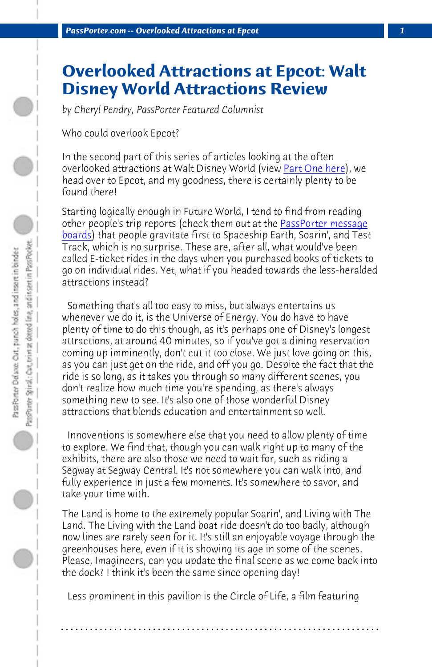*[PassPo](http://www.passporterboards.com/forums/sharing-adventure-disney-world-trip-reports/)rter.com -- Overlooked Attractions at Epcot 1*

## **Overlooked Attractions at Epcot: Walt Disney World Attractions Review**

*by Cheryl Pendry, PassPorter Featured Columnist*

Who could overlook Epcot?

In the second part of this series of articles looking at the often overlooked attractions at Walt Disney World (view Part One here), we head over to Epcot, and my goodness, there is certainly plenty to be found there!

Starting logically enough in Future World, I tend to find from reading other people's trip reports (check them out at the PassPorter message boards) that people gravitate first to Spaceship Earth, Soarin', and Test Track, which is no surprise. These are, after all, what would've been called E-ticket rides in the days when you purchased books of tickets to go on individual rides. Yet, what if you headed towards the less-heralded attractions instead?

 Something that's all too easy to miss, but always entertains us whenever we do it, is the Universe of Energy. You do have to have plenty of time to do this though, as it's perhaps one of Disney's longest attractions, at around 40 minutes, so if you've got a dining reservation coming up imminently, don't cut it too close. We just love going on this, as you can just get on the ride, and off you go. Despite the fact that the ride is so long, as it takes you through so many different scenes, you don't realize how much time you're spending, as there's always something new to see. It's also one of those wonderful Disney attractions that blends education and entertainment so well.

 Innoventions is somewhere else that you need to allow plenty of time to explore. We find that, though you can walk right up to many of the exhibits, there are also those we need to wait for, such as riding a Segway at Segway Central. It's not somewhere you can walk into, and fully experience in just a few moments. It's somewhere to savor, and take your time with.

The Land is home to the extremely popular Soarin', and Living with The Land. The Living with the Land boat ride doesn't do too badly, although now lines are rarely seen for it. It's still an enjoyable voyage through the greenhouses here, even if it is showing its age in some of the scenes. Please, Imagineers, can you update the final scene as we come back into the dock? I think it's been the same since opening day!

 Less prominent in this pavilion is the Circle of Life, a film featuring

**. . . . . . . . . . . . . . . . . . . . . . . . . . . . . . . . . . . . . . . . . . . . . . . . . . . . . . . . . . . . . . . . . .**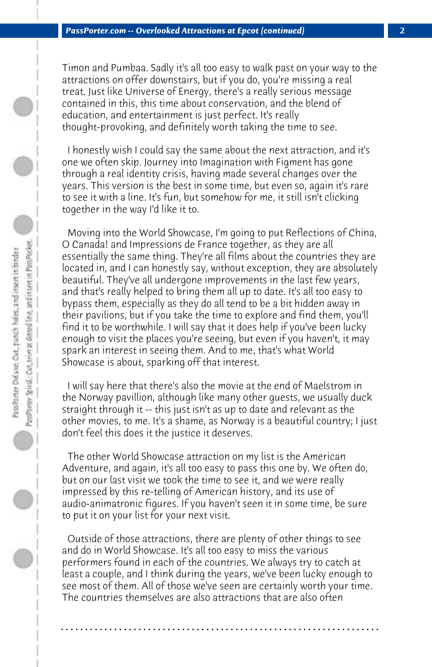Timon and Pumbaa. Sadly it's all too easy to walk past on your way to the attractions on offer downstairs, but if you do, you're missing a real treat. Just like Universe of Energy, there's a really serious message contained in this, this time about conservation, and the blend of education, and entertainment is just perfect. It's really thought-provoking, and definitely worth taking the time to see.

 I honestly wish I could say the same about the next attraction, and it's one we often skip. Journey into Imagination with Figment has gone through a real identity crisis, having made several changes over the years. This version is the best in some time, but even so, again it's rare to see it with a line. It's fun, but somehow for me, it still isn't clicking together in the way I'd like it to.

 Moving into the World Showcase, I'm going to put Reflections of China, O Canada! and Impressions de France together, as they are all essentially the same thing. They're all films about the countries they are located in, and I can honestly say, without exception, they are absolutely beautiful. They've all undergone improvements in the last few years, and that's really helped to bring them all up to date. It's all too easy to bypass them, especially as they do all tend to be a bit hidden away in their pavilions, but if you take the time to explore and find them, you'll find it to be worthwhile. I will say that it does help if you've been lucky enough to visit the places you're seeing, but even if you haven't, it may spark an interest in seeing them. And to me, that's what World Showcase is about, sparking off that interest.

 I will say here that there's also the movie at the end of Maelstrom in the Norway pavillion, although like many other guests, we usually duck straight through it -- this just isn't as up to date and relevant as the other movies, to me. It's a shame, as Norway is a beautiful country; I just don't feel this does it the justice it deserves.

 The other World Showcase attraction on my list is the American Adventure, and again, it's all too easy to pass this one by. We often do, but on our last visit we took the time to see it, and we were really impressed by this re-telling of American history, and its use of audio-animatronic figures. If you haven't seen it in some time, be sure to put it on your list for your next visit.

 Outside of those attractions, there are plenty of other things to see and do in World Showcase. It's all too easy to miss the various performers found in each of the countries. We always try to catch at least a couple, and I think during the years, we've been lucky enough to see most of them. All of those we've seen are certainly worth your time. The countries themselves are also attractions that are also often

**. . . . . . . . . . . . . . . . . . . . . . . . . . . . . . . . . . . . . . . . . . . . . . . . . . . . . . . . . . . . . . . . . .**